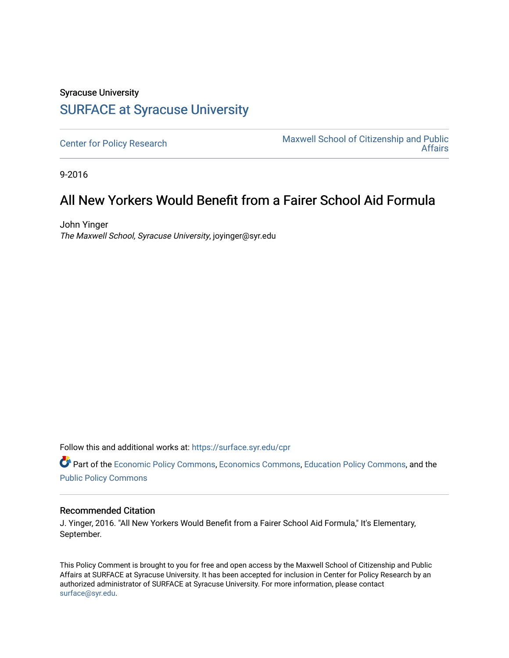## Syracuse University [SURFACE at Syracuse University](https://surface.syr.edu/)

[Center for Policy Research](https://surface.syr.edu/cpr) Maxwell School of Citizenship and Public<br>Affairs [Affairs](https://surface.syr.edu/maxwell) 

9-2016

## All New Yorkers Would Benefit from a Fairer School Aid Formula

John Yinger The Maxwell School, Syracuse University, joyinger@syr.edu

Follow this and additional works at: [https://surface.syr.edu/cpr](https://surface.syr.edu/cpr?utm_source=surface.syr.edu%2Fcpr%2F348&utm_medium=PDF&utm_campaign=PDFCoverPages) 

Part of the [Economic Policy Commons](http://network.bepress.com/hgg/discipline/1025?utm_source=surface.syr.edu%2Fcpr%2F348&utm_medium=PDF&utm_campaign=PDFCoverPages), [Economics Commons,](http://network.bepress.com/hgg/discipline/340?utm_source=surface.syr.edu%2Fcpr%2F348&utm_medium=PDF&utm_campaign=PDFCoverPages) [Education Policy Commons](http://network.bepress.com/hgg/discipline/1026?utm_source=surface.syr.edu%2Fcpr%2F348&utm_medium=PDF&utm_campaign=PDFCoverPages), and the [Public Policy Commons](http://network.bepress.com/hgg/discipline/400?utm_source=surface.syr.edu%2Fcpr%2F348&utm_medium=PDF&utm_campaign=PDFCoverPages)

## Recommended Citation

J. Yinger, 2016. "All New Yorkers Would Benefit from a Fairer School Aid Formula," It's Elementary, September.

This Policy Comment is brought to you for free and open access by the Maxwell School of Citizenship and Public Affairs at SURFACE at Syracuse University. It has been accepted for inclusion in Center for Policy Research by an authorized administrator of SURFACE at Syracuse University. For more information, please contact [surface@syr.edu.](mailto:surface@syr.edu)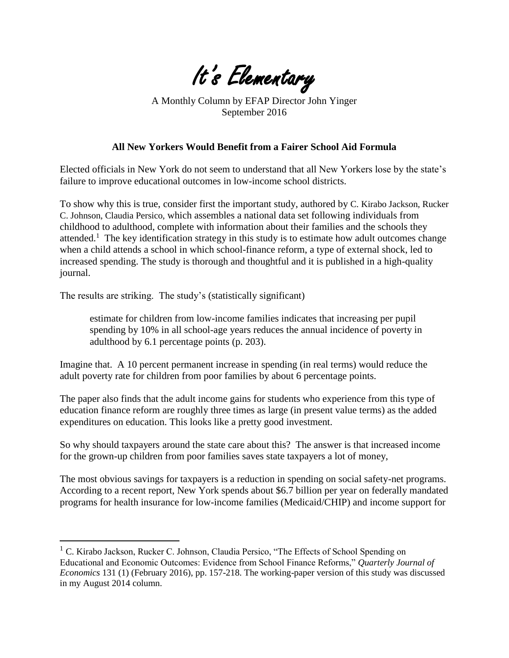

A Monthly Column by EFAP Director John Yinger September 2016

## **All New Yorkers Would Benefit from a Fairer School Aid Formula**

Elected officials in New York do not seem to understand that all New Yorkers lose by the state's failure to improve educational outcomes in low-income school districts.

To show why this is true, consider first the important study, authored by C. Kirabo Jackson, Rucker C. Johnson, Claudia Persico, which assembles a national data set following individuals from childhood to adulthood, complete with information about their families and the schools they attended.<sup>1</sup> The key identification strategy in this study is to estimate how adult outcomes change when a child attends a school in which school-finance reform, a type of external shock, led to increased spending. The study is thorough and thoughtful and it is published in a high-quality journal.

The results are striking. The study's (statistically significant)

 $\overline{a}$ 

estimate for children from low-income families indicates that increasing per pupil spending by 10% in all school-age years reduces the annual incidence of poverty in adulthood by 6.1 percentage points (p. 203).

Imagine that. A 10 percent permanent increase in spending (in real terms) would reduce the adult poverty rate for children from poor families by about 6 percentage points.

The paper also finds that the adult income gains for students who experience from this type of education finance reform are roughly three times as large (in present value terms) as the added expenditures on education. This looks like a pretty good investment.

So why should taxpayers around the state care about this? The answer is that increased income for the grown-up children from poor families saves state taxpayers a lot of money,

The most obvious savings for taxpayers is a reduction in spending on social safety-net programs. According to a recent report, New York spends about \$6.7 billion per year on federally mandated programs for health insurance for low-income families (Medicaid/CHIP) and income support for

 $1$  C. Kirabo Jackson, Rucker C. Johnson, Claudia Persico, "The Effects of School Spending on Educational and Economic Outcomes: Evidence from School Finance Reforms," *Quarterly Journal of Economics* 131 (1) (February 2016), pp. 157-218. The working-paper version of this study was discussed in my August 2014 column.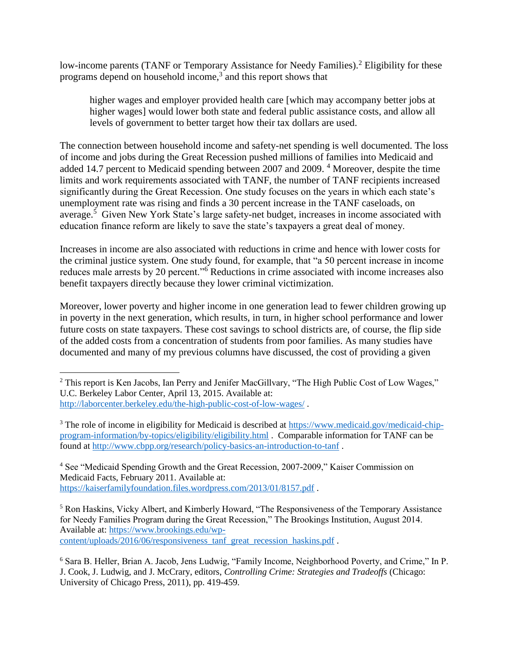low-income parents (TANF or Temporary Assistance for Needy Families).<sup>2</sup> Eligibility for these programs depend on household income, $3$  and this report shows that

higher wages and employer provided health care [which may accompany better jobs at higher wages] would lower both state and federal public assistance costs, and allow all levels of government to better target how their tax dollars are used.

The connection between household income and safety-net spending is well documented. The loss of income and jobs during the Great Recession pushed millions of families into Medicaid and added 14.7 percent to Medicaid spending between 2007 and 2009. 4 Moreover, despite the time limits and work requirements associated with TANF, the number of TANF recipients increased significantly during the Great Recession. One study focuses on the years in which each state's unemployment rate was rising and finds a 30 percent increase in the TANF caseloads, on average.<sup>5</sup> Given New York State's large safety-net budget, increases in income associated with education finance reform are likely to save the state's taxpayers a great deal of money.

Increases in income are also associated with reductions in crime and hence with lower costs for the criminal justice system. One study found, for example, that "a 50 percent increase in income reduces male arrests by 20 percent."6 Reductions in crime associated with income increases also benefit taxpayers directly because they lower criminal victimization.

Moreover, lower poverty and higher income in one generation lead to fewer children growing up in poverty in the next generation, which results, in turn, in higher school performance and lower future costs on state taxpayers. These cost savings to school districts are, of course, the flip side of the added costs from a concentration of students from poor families. As many studies have documented and many of my previous columns have discussed, the cost of providing a given

4 See "Medicaid Spending Growth and the Great Recession, 2007-2009," Kaiser Commission on Medicaid Facts, February 2011. Available at: <https://kaiserfamilyfoundation.files.wordpress.com/2013/01/8157.pdf>.

5 Ron Haskins, Vicky Albert, and Kimberly Howard, "The Responsiveness of the Temporary Assistance for Needy Families Program during the Great Recession," The Brookings Institution, August 2014. Available at: [https://www.brookings.edu/wp](https://www.brookings.edu/wp-content/uploads/2016/06/responsiveness_tanf_great_recession_haskins.pdf)[content/uploads/2016/06/responsiveness\\_tanf\\_great\\_recession\\_haskins.pdf](https://www.brookings.edu/wp-content/uploads/2016/06/responsiveness_tanf_great_recession_haskins.pdf) .

 $\overline{a}$ <sup>2</sup> This report is Ken Jacobs, Ian Perry and Jenifer MacGillvary, "The High Public Cost of Low Wages," U.C. Berkeley Labor Center, April 13, 2015. Available at: <http://laborcenter.berkeley.edu/the-high-public-cost-of-low-wages/>.

<sup>&</sup>lt;sup>3</sup> The role of income in eligibility for Medicaid is described at [https://www.medicaid.gov/medicaid-chip](https://www.medicaid.gov/medicaid-chip-program-information/by-topics/eligibility/eligibility.html)[program-information/by-topics/eligibility/eligibility.html](https://www.medicaid.gov/medicaid-chip-program-information/by-topics/eligibility/eligibility.html) . Comparable information for TANF can be found at<http://www.cbpp.org/research/policy-basics-an-introduction-to-tanf>.

<sup>6</sup> Sara B. Heller, Brian A. Jacob, Jens Ludwig, "Family Income, Neighborhood Poverty, and Crime," In P. J. Cook, J. Ludwig, and J. McCrary, editors, *Controlling Crime: Strategies and Tradeoffs* (Chicago: University of Chicago Press, 2011), pp. 419-459.